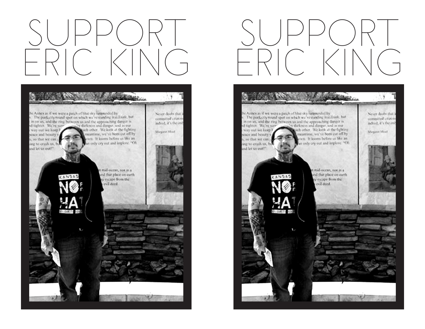## SUPPORT ERIC KING



## SUPPORT ERIC KING